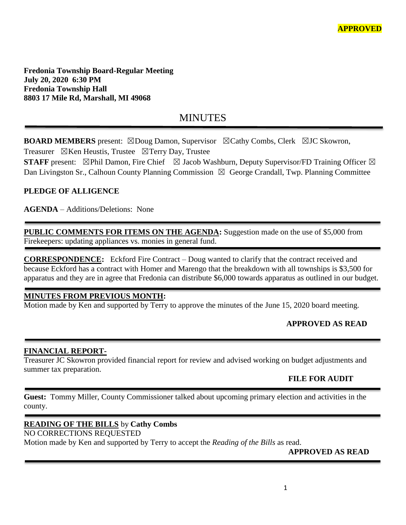**Fredonia Township Board-Regular Meeting July 20, 2020 6:30 PM Fredonia Township Hall 8803 17 Mile Rd, Marshall, MI 49068**

# MINUTES

**BOARD MEMBERS** present: ⊠Doug Damon, Supervisor ⊠Cathy Combs, Clerk ⊠JC Skowron, Treasurer  $\boxtimes$ Ken Heustis, Trustee  $\boxtimes$ Terry Day, Trustee

**STAFF** present:  $\boxtimes$ Phil Damon, Fire Chief  $\boxtimes$  Jacob Washburn, Deputy Supervisor/FD Training Officer  $\boxtimes$ Dan Livingston Sr., Calhoun County Planning Commission  $\boxtimes$  George Crandall, Twp. Planning Committee

### **PLEDGE OF ALLIGENCE**

**AGENDA** – Additions/Deletions: None

**PUBLIC COMMENTS FOR ITEMS ON THE AGENDA:** Suggestion made on the use of \$5,000 from Firekeepers: updating appliances vs. monies in general fund.

**CORRESPONDENCE:** Eckford Fire Contract – Doug wanted to clarify that the contract received and because Eckford has a contract with Homer and Marengo that the breakdown with all townships is \$3,500 for apparatus and they are in agree that Fredonia can distribute \$6,000 towards apparatus as outlined in our budget.

### **MINUTES FROM PREVIOUS MONTH:**

Motion made by Ken and supported by Terry to approve the minutes of the June 15, 2020 board meeting.

### **APPROVED AS READ**

### **FINANCIAL REPORT-**

Treasurer JC Skowron provided financial report for review and advised working on budget adjustments and summer tax preparation.

### **FILE FOR AUDIT**

**Guest:** Tommy Miller, County Commissioner talked about upcoming primary election and activities in the county.

### **READING OF THE BILLS** by **Cathy Combs** NO CORRECTIONS REQUESTED Motion made by Ken and supported by Terry to accept the *Reading of the Bills* as read.

### **APPROVED AS READ**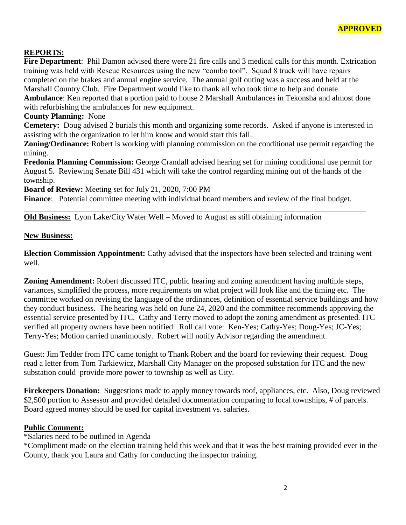### **REPORTS:**

**Fire Department**: Phil Damon advised there were 21 fire calls and 3 medical calls for this month. Extrication training was held with Rescue Resources using the new "combo tool". Squad 8 truck will have repairs completed on the brakes and annual engine service. The annual golf outing was a success and held at the Marshall Country Club. Fire Department would like to thank all who took time to help and donate. **Ambulance**: Ken reported that a portion paid to house 2 Marshall Ambulances in Tekonsha and almost done with refurbishing the ambulances for new equipment.

#### **County Planning:** None

**Cemetery:** Doug advised 2 burials this month and organizing some records. Asked if anyone is interested in assisting with the organization to let him know and would start this fall.

**Zoning/Ordinance:** Robert is working with planning commission on the conditional use permit regarding the mining.

**Fredonia Planning Commission:** George Crandall advised hearing set for mining conditional use permit for August 5. Reviewing Senate Bill 431 which will take the control regarding mining out of the hands of the township.

**Board of Review:** Meeting set for July 21, 2020, 7:00 PM

**Finance**: Potential committee meeting with individual board members and review of the final budget.

\_\_\_\_\_\_\_\_\_\_\_\_\_\_\_\_\_\_\_\_\_\_\_\_\_\_\_\_\_\_\_\_\_\_\_\_\_\_\_\_\_\_\_\_\_\_\_\_\_\_\_\_\_\_\_\_\_\_\_\_\_\_\_\_\_\_\_\_\_\_\_\_\_\_\_\_\_\_\_\_\_\_\_\_\_\_

**Old Business:** Lyon Lake/City Water Well – Moved to August as still obtaining information

#### **New Business:**

**Election Commission Appointment:** Cathy advised that the inspectors have been selected and training went well.

**Zoning Amendment:** Robert discussed ITC, public hearing and zoning amendment having multiple steps, variances, simplified the process, more requirements on what project will look like and the timing etc. The committee worked on revising the language of the ordinances, definition of essential service buildings and how they conduct business. The hearing was held on June 24, 2020 and the committee recommends approving the essential service presented by ITC. Cathy and Terry moved to adopt the zoning amendment as presented. ITC verified all property owners have been notified. Roll call vote: Ken-Yes; Cathy-Yes; Doug-Yes; JC-Yes; Terry-Yes; Motion carried unanimously. Robert will notify Advisor regarding the amendment.

Guest: Jim Tedder from ITC came tonight to Thank Robert and the board for reviewing their request. Doug read a letter from Tom Tarkiewicz, Marshall City Manager on the proposed substation for ITC and the new substation could provide more power to township as well as City.

**Firekeepers Donation:** Suggestions made to apply money towards roof, appliances, etc. Also, Doug reviewed \$2,500 portion to Assessor and provided detailed documentation comparing to local townships, # of parcels. Board agreed money should be used for capital investment vs. salaries.

### **Public Comment:**

\*Salaries need to be outlined in Agenda

\*Compliment made on the election training held this week and that it was the best training provided ever in the County, thank you Laura and Cathy for conducting the inspector training.